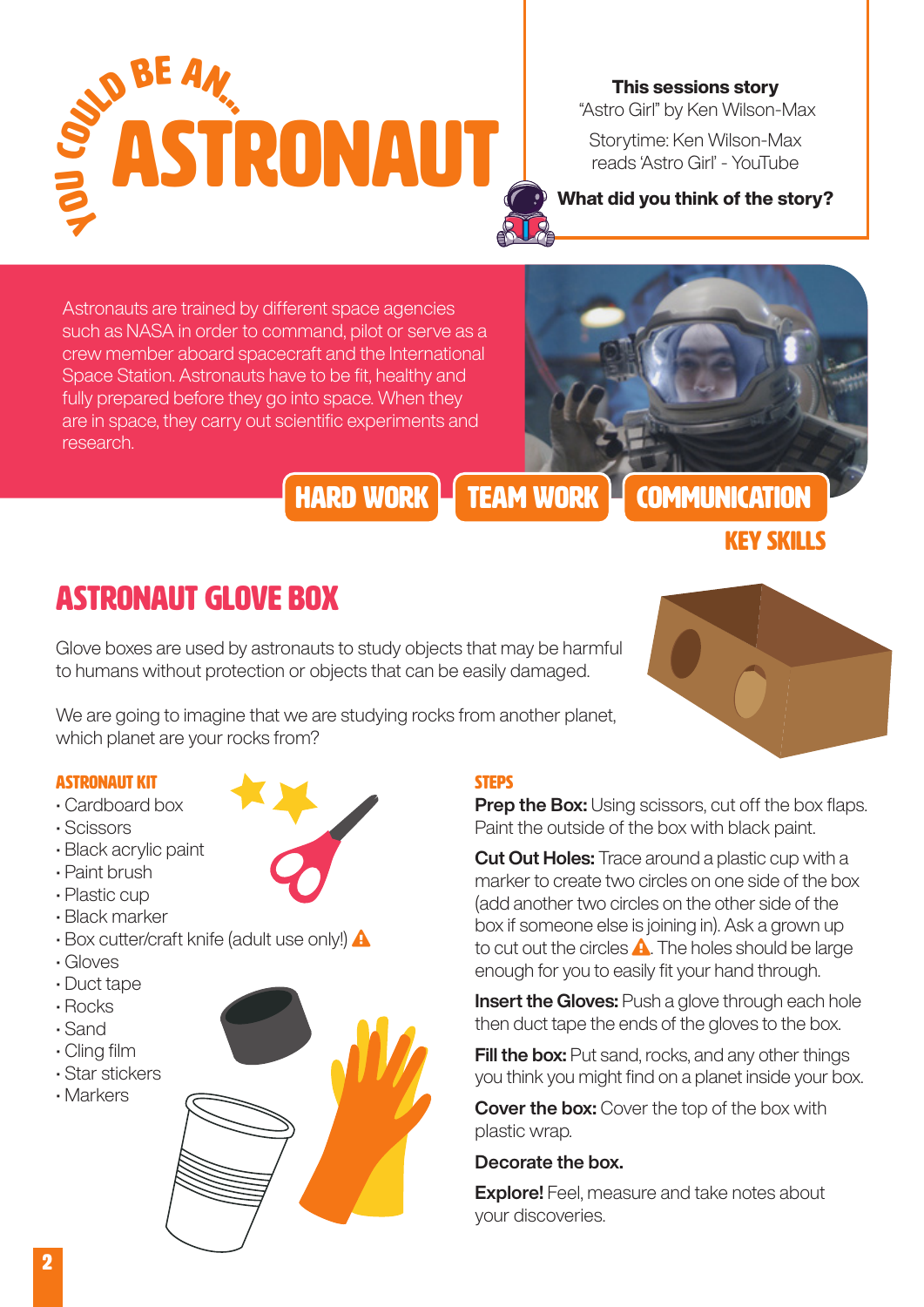

This sessions story "Astro Girl" by Ken Wilson-Max

[Storytime: Ken Wilson-Max](https://www.youtube.com/watch?v=bPM_KSFpH7Q)  [reads 'Astro Girl' - YouTube](https://www.youtube.com/watch?v=bPM_KSFpH7Q)

#### What did you think of the story?

Astronauts are trained by different space agencies such as NASA in order to command, pilot or serve as a crew member aboard spacecraft and the International Space Station. Astronauts have to be fit, healthy and fully prepared before they go into space. When they are in space, they carry out scientific experiments and research.



HARD WORK **TEAM WORK** COMMUNICATION

### Key skills

## Astronaut Glove Box

Glove boxes are used by astronauts to study objects that may be harmful to humans without protection or objects that can be easily damaged.

We are going to imagine that we are studying rocks from another planet, which planet are your rocks from?

#### astronaut kit

- Cardboard box
- Scissors
- Black acrylic paint
- Paint brush
- Plastic cup
- Black marker
- Box cutter/craft knife (adult use only!) **A**
- Gloves
- Duct tape
- Rocks
- Sand
- Cling film
- Star stickers
- Markers



#### **STEPS**

**Prep the Box:** Using scissors, cut off the box flaps. Paint the outside of the box with black paint.

Cut Out Holes: Trace around a plastic cup with a marker to create two circles on one side of the box (add another two circles on the other side of the box if someone else is joining in). Ask a grown up to cut out the circles  $\triangle$ . The holes should be large enough for you to easily fit your hand through.

**Insert the Gloves:** Push a glove through each hole then duct tape the ends of the gloves to the box.

**Fill the box:** Put sand, rocks, and any other things you think you might find on a planet inside your box.

**Cover the box:** Cover the top of the box with plastic wrap.

#### Decorate the box.

**Explore!** Feel, measure and take notes about your discoveries.